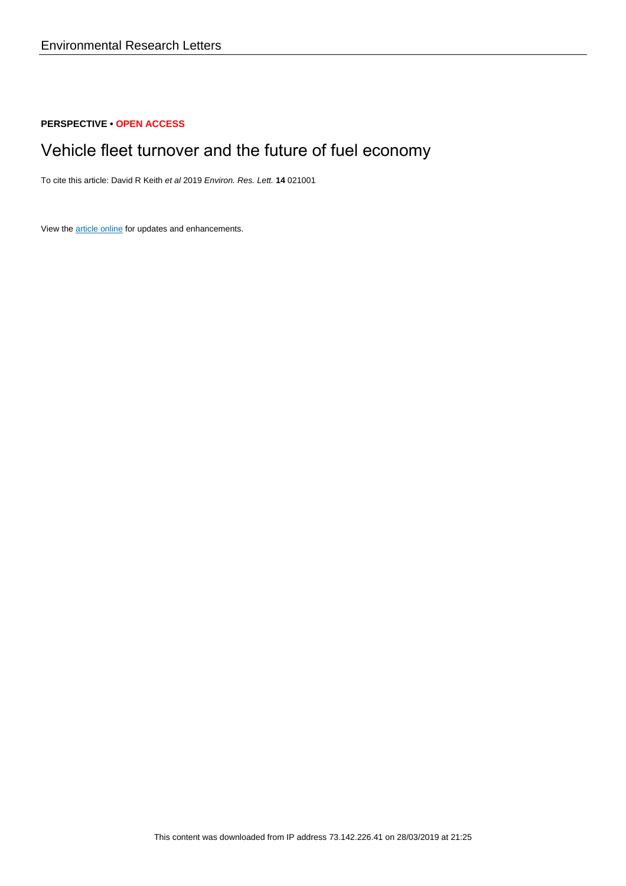## **PERSPECTIVE • OPEN ACCESS**

# Vehicle fleet turnover and the future of fuel economy

To cite this article: David R Keith et al 2019 Environ. Res. Lett. **14** 021001

View the [article online](https://doi.org/10.1088/1748-9326/aaf4d2) for updates and enhancements.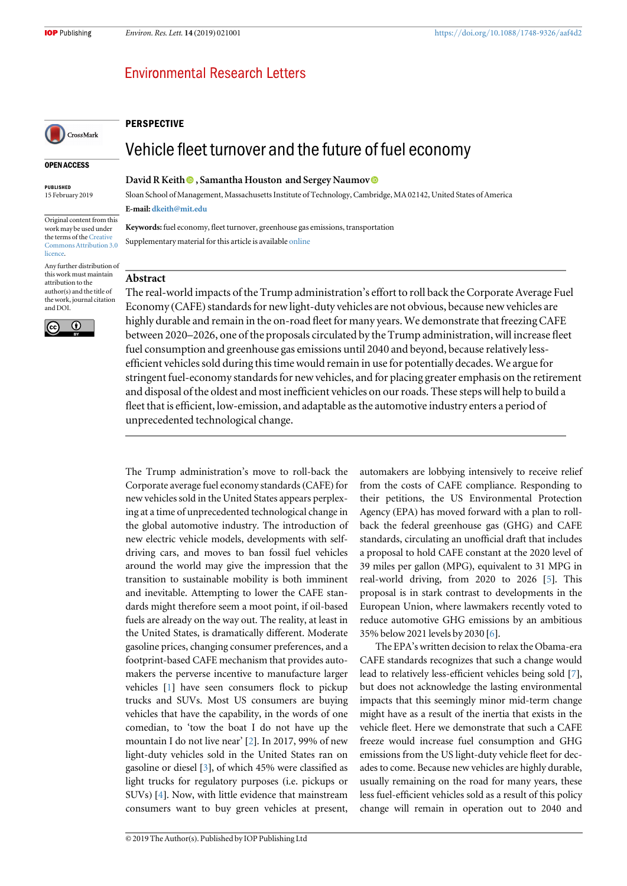# **Environmental Research Letters**

# CrossMark

#### OPEN ACCESS

PUBLISHED 15 February 2019

Original content from this work may be used under the terms of the [Creative](http://creativecommons.org/licenses/by/3.0) [Commons Attribution 3.0](http://creativecommons.org/licenses/by/3.0) [licence.](http://creativecommons.org/licenses/by/3.0)

Any further distribution of this work must maintain attribution to the author(s) and the title of the work, journal citation and DOI.



#### David R Keith **D**[,](https://orcid.org/0000-0003-4938-0617) Samantha Houston and Sergey Naumov **D**

Sloan School of Management, Massachusetts Institute of Technology, Cambridge, MA 02142, United States of America

Vehicle fleet turnover and the future of fuel economy

E-mail: [dkeith@mit.edu](mailto:dkeith@mit.edu)

**PERSPECTIVE** 

Keywords: fuel economy, fleet turnover, greenhouse gas emissions, transportation Supplementary material for this article is available [online](https://doi.org/10.1088/1748-9326/aaf4d2)

### Abstract

The real-world impacts of the Trump administration's effort to roll back the Corporate Average Fuel Economy (CAFE) standards for new light-duty vehicles are not obvious, because new vehicles are highly durable and remain in the on-road fleet for many years. We demonstrate that freezing CAFE between 2020–2026, one of the proposals circulated by the Trump administration, will increase fleet fuel consumption and greenhouse gas emissions until 2040 and beyond, because relatively lessefficient vehicles sold during this time would remain in use for potentially decades. We argue for stringent fuel-economy standards for new vehicles, and for placing greater emphasis on the retirement and disposal of the oldest and most inefficient vehicles on our roads. These steps will help to build a fleet that is efficient, low-emission, and adaptable as the automotive industry enters a period of unprecedented technological change.

The Trump administration's move to roll-back the Corporate average fuel economy standards (CAFE) for new vehicles sold in the United States appears perplexing at a time of unprecedented technological change in the global automotive industry. The introduction of new electric vehicle models, developments with selfdriving cars, and moves to ban fossil fuel vehicles around the world may give the impression that the transition to sustainable mobility is both imminent and inevitable. Attempting to lower the CAFE standards might therefore seem a moot point, if oil-based fuels are already on the way out. The reality, at least in the United States, is dramatically different. Moderate gasoline prices, changing consumer preferences, and a footprint-based CAFE mechanism that provides automakers the perverse incentive to manufacture larger vehicles [[1](#page-4-0)] have seen consumers flock to pickup trucks and SUVs. Most US consumers are buying vehicles that have the capability, in the words of one comedian, to 'tow the boat I do not have up the mountain I do not live near' [[2](#page-4-0)]. In 2017, 99% of new light-duty vehicles sold in the United States ran on gasoline or diesel [[3](#page-4-0)], of which 45% were classified as light trucks for regulatory purposes (i.e. pickups or SUVs) [[4](#page-4-0)]. Now, with little evidence that mainstream consumers want to buy green vehicles at present,

automakers are lobbying intensively to receive relief from the costs of CAFE compliance. Responding to their petitions, the US Environmental Protection Agency (EPA) has moved forward with a plan to rollback the federal greenhouse gas (GHG) and CAFE standards, circulating an unofficial draft that includes a proposal to hold CAFE constant at the 2020 level of 39 miles per gallon (MPG), equivalent to 31 MPG in real-world driving, from 2020 to 2026 [[5](#page-4-0)]. This proposal is in stark contrast to developments in the European Union, where lawmakers recently voted to reduce automotive GHG emissions by an ambitious 35% below 2021 levels by 2030 [[6](#page-4-0)].

The EPA's written decision to relax the Obama-era CAFE standards recognizes that such a change would lead to relatively less-efficient vehicles being sold [[7](#page-4-0)], but does not acknowledge the lasting environmental impacts that this seemingly minor mid-term change might have as a result of the inertia that exists in the vehicle fleet. Here we demonstrate that such a CAFE freeze would increase fuel consumption and GHG emissions from the US light-duty vehicle fleet for decades to come. Because new vehicles are highly durable, usually remaining on the road for many years, these less fuel-efficient vehicles sold as a result of this policy change will remain in operation out to 2040 and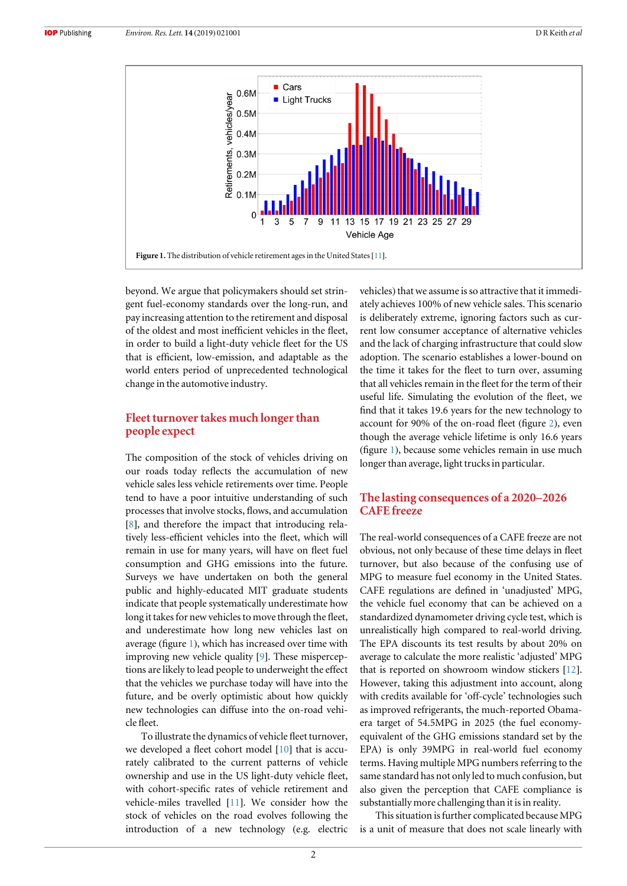

beyond. We argue that policymakers should set stringent fuel-economy standards over the long-run, and pay increasing attention to the retirement and disposal of the oldest and most inefficient vehicles in the fleet, in order to build a light-duty vehicle fleet for the US that is efficient, low-emission, and adaptable as the world enters period of unprecedented technological change in the automotive industry.

### Fleet turnover takes much longer than people expect

The composition of the stock of vehicles driving on our roads today reflects the accumulation of new vehicle sales less vehicle retirements over time. People tend to have a poor intuitive understanding of such processes that involve stocks, flows, and accumulation [[8](#page-4-0)], and therefore the impact that introducing relatively less-efficient vehicles into the fleet, which will remain in use for many years, will have on fleet fuel consumption and GHG emissions into the future. Surveys we have undertaken on both the general public and highly-educated MIT graduate students indicate that people systematically underestimate how long it takes for new vehicles to move through the fleet, and underestimate how long new vehicles last on average (figure 1), which has increased over time with improving new vehicle quality [[9](#page-4-0)]. These misperceptions are likely to lead people to underweight the effect that the vehicles we purchase today will have into the future, and be overly optimistic about how quickly new technologies can diffuse into the on-road vehicle fleet.

To illustrate the dynamics of vehicle fleet turnover, we developed a fleet cohort model [[10](#page-4-0)] that is accurately calibrated to the current patterns of vehicle ownership and use in the US light-duty vehicle fleet, with cohort-specific rates of vehicle retirement and vehicle-miles travelled [[11](#page-4-0)]. We consider how the stock of vehicles on the road evolves following the introduction of a new technology (e.g. electric vehicles) that we assume is so attractive that it immediately achieves 100% of new vehicle sales. This scenario is deliberately extreme, ignoring factors such as current low consumer acceptance of alternative vehicles and the lack of charging infrastructure that could slow adoption. The scenario establishes a lower-bound on the time it takes for the fleet to turn over, assuming that all vehicles remain in the fleet for the term of their useful life. Simulating the evolution of the fleet, we find that it takes 19.6 years for the new technology to account for 90% of the on-road fleet (figure [2](#page-3-0)), even though the average vehicle lifetime is only 16.6 years (figure 1), because some vehicles remain in use much longer than average, light trucks in particular.

### The lasting consequences of a 2020–2026 CAFE freeze

The real-world consequences of a CAFE freeze are not obvious, not only because of these time delays in fleet turnover, but also because of the confusing use of MPG to measure fuel economy in the United States. CAFE regulations are defined in 'unadjusted' MPG, the vehicle fuel economy that can be achieved on a standardized dynamometer driving cycle test, which is unrealistically high compared to real-world driving. The EPA discounts its test results by about 20% on average to calculate the more realistic 'adjusted' MPG that is reported on showroom window stickers [[12](#page-4-0)]. However, taking this adjustment into account, along with credits available for 'off-cycle' technologies such as improved refrigerants, the much-reported Obamaera target of 54.5MPG in 2025 (the fuel economyequivalent of the GHG emissions standard set by the EPA) is only 39MPG in real-world fuel economy terms. Having multiple MPG numbers referring to the same standard has not only led to much confusion, but also given the perception that CAFE compliance is substantially more challenging than it is in reality.

This situation is further complicated because MPG is a unit of measure that does not scale linearly with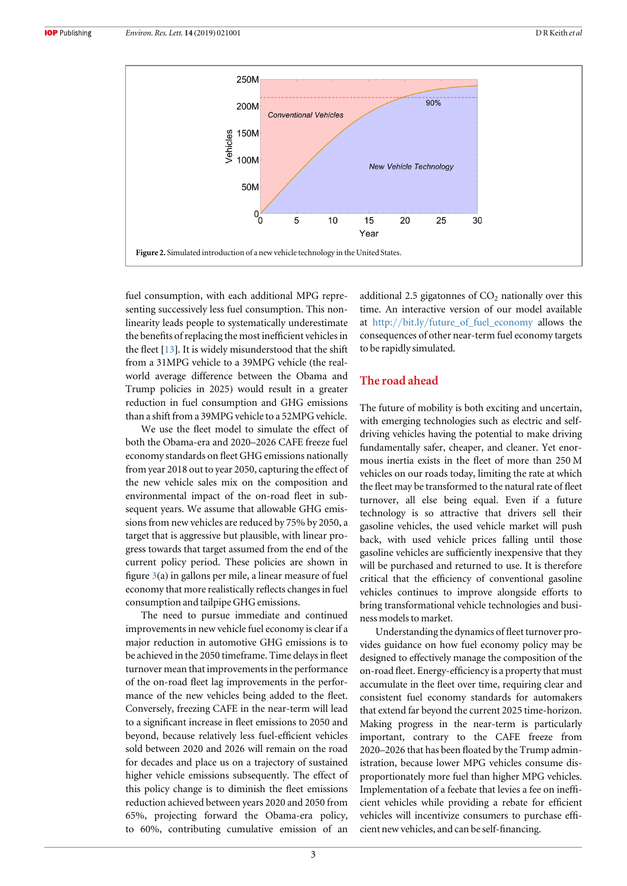<span id="page-3-0"></span>

fuel consumption, with each additional MPG representing successively less fuel consumption. This nonlinearity leads people to systematically underestimate the benefits of replacing the most inefficient vehicles in the fleet  $[13]$  $[13]$  $[13]$ . It is widely misunderstood that the shift from a 31MPG vehicle to a 39MPG vehicle (the realworld average difference between the Obama and Trump policies in 2025) would result in a greater reduction in fuel consumption and GHG emissions than a shift from a 39MPG vehicle to a 52MPG vehicle.

We use the fleet model to simulate the effect of both the Obama-era and 2020–2026 CAFE freeze fuel economy standards on fleet GHG emissions nationally from year 2018 out to year 2050, capturing the effect of the new vehicle sales mix on the composition and environmental impact of the on-road fleet in subsequent years. We assume that allowable GHG emissions from new vehicles are reduced by 75% by 2050, a target that is aggressive but plausible, with linear progress towards that target assumed from the end of the current policy period. These policies are shown in figure [3](#page-4-0)(a) in gallons per mile, a linear measure of fuel economy that more realistically reflects changes in fuel consumption and tailpipe GHG emissions.

The need to pursue immediate and continued improvements in new vehicle fuel economy is clear if a major reduction in automotive GHG emissions is to be achieved in the 2050 timeframe. Time delays in fleet turnover mean that improvements in the performance of the on-road fleet lag improvements in the performance of the new vehicles being added to the fleet. Conversely, freezing CAFE in the near-term will lead to a significant increase in fleet emissions to 2050 and beyond, because relatively less fuel-efficient vehicles sold between 2020 and 2026 will remain on the road for decades and place us on a trajectory of sustained higher vehicle emissions subsequently. The effect of this policy change is to diminish the fleet emissions reduction achieved between years 2020 and 2050 from 65%, projecting forward the Obama-era policy, to 60%, contributing cumulative emission of an additional 2.5 gigatonnes of  $CO<sub>2</sub>$  nationally over this time. An interactive version of our model available at http://bit.ly/[future\\_of\\_fuel\\_economy](http://bit.ly/future_of_fuel_economy) allows the consequences of other near-term fuel economy targets to be rapidly simulated.

## The road ahead

The future of mobility is both exciting and uncertain, with emerging technologies such as electric and selfdriving vehicles having the potential to make driving fundamentally safer, cheaper, and cleaner. Yet enormous inertia exists in the fleet of more than 250 M vehicles on our roads today, limiting the rate at which the fleet may be transformed to the natural rate of fleet turnover, all else being equal. Even if a future technology is so attractive that drivers sell their gasoline vehicles, the used vehicle market will push back, with used vehicle prices falling until those gasoline vehicles are sufficiently inexpensive that they will be purchased and returned to use. It is therefore critical that the efficiency of conventional gasoline vehicles continues to improve alongside efforts to bring transformational vehicle technologies and business models to market.

Understanding the dynamics of fleet turnover provides guidance on how fuel economy policy may be designed to effectively manage the composition of the on-road fleet. Energy-efficiency is a property that must accumulate in the fleet over time, requiring clear and consistent fuel economy standards for automakers that extend far beyond the current 2025 time-horizon. Making progress in the near-term is particularly important, contrary to the CAFE freeze from 2020–2026 that has been floated by the Trump administration, because lower MPG vehicles consume disproportionately more fuel than higher MPG vehicles. Implementation of a feebate that levies a fee on inefficient vehicles while providing a rebate for efficient vehicles will incentivize consumers to purchase efficient new vehicles, and can be self-financing.